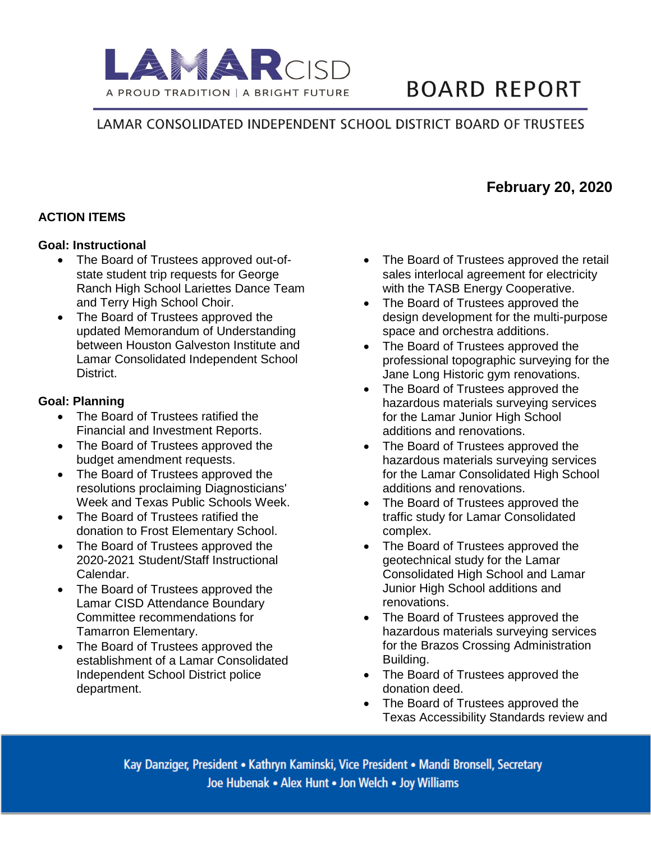

# **BOARD REPORT**

# LAMAR CONSOLIDATED INDEPENDENT SCHOOL DISTRICT BOARD OF TRUSTEES

## **ACTION ITEMS**

#### **Goal: Instructional**

- The Board of Trustees approved out-ofstate student trip requests for George Ranch High School Lariettes Dance Team and Terry High School Choir.
- The Board of Trustees approved the updated Memorandum of Understanding between Houston Galveston Institute and Lamar Consolidated Independent School District.

#### **Goal: Planning**

- The Board of Trustees ratified the Financial and Investment Reports.
- The Board of Trustees approved the budget amendment requests.
- The Board of Trustees approved the resolutions proclaiming Diagnosticians' Week and Texas Public Schools Week.
- The Board of Trustees ratified the donation to Frost Elementary School.
- The Board of Trustees approved the 2020-2021 Student/Staff Instructional Calendar.
- The Board of Trustees approved the Lamar CISD Attendance Boundary Committee recommendations for Tamarron Elementary.
- The Board of Trustees approved the establishment of a Lamar Consolidated Independent School District police department.
- The Board of Trustees approved the retail sales interlocal agreement for electricity with the TASB Energy Cooperative.
- The Board of Trustees approved the design development for the multi-purpose space and orchestra additions.
- The Board of Trustees approved the professional topographic surveying for the Jane Long Historic gym renovations.
- The Board of Trustees approved the hazardous materials surveying services for the Lamar Junior High School additions and renovations.
- The Board of Trustees approved the hazardous materials surveying services for the Lamar Consolidated High School additions and renovations.
- The Board of Trustees approved the traffic study for Lamar Consolidated complex.
- The Board of Trustees approved the geotechnical study for the Lamar Consolidated High School and Lamar Junior High School additions and renovations.
- The Board of Trustees approved the hazardous materials surveying services for the Brazos Crossing Administration Building.
- The Board of Trustees approved the donation deed.
- The Board of Trustees approved the Texas Accessibility Standards review and

Kay Danziger, President • Kathryn Kaminski, Vice President • Mandi Bronsell, Secretary Joe Hubenak • Alex Hunt • Jon Welch • Joy Williams

# **February 20, 2020**